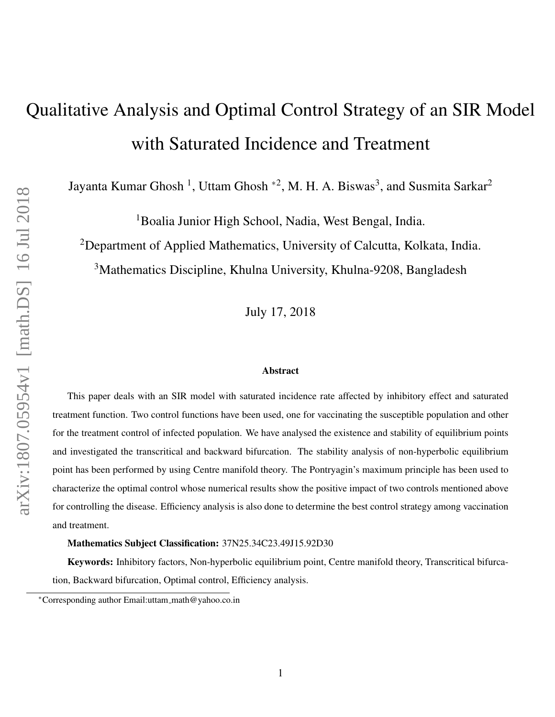# Qualitative Analysis and Optimal Control Strategy of an SIR Model with Saturated Incidence and Treatment

Jayanta Kumar Ghosh <sup>1</sup>, Uttam Ghosh <sup>\*2</sup>, M. H. A. Biswas<sup>3</sup>, and Susmita Sarkar<sup>2</sup>

<sup>1</sup>Boalia Junior High School, Nadia, West Bengal, India.

<sup>2</sup>Department of Applied Mathematics, University of Calcutta, Kolkata, India.

<sup>3</sup>Mathematics Discipline, Khulna University, Khulna-9208, Bangladesh

July 17, 2018

#### Abstract

This paper deals with an SIR model with saturated incidence rate affected by inhibitory effect and saturated treatment function. Two control functions have been used, one for vaccinating the susceptible population and other for the treatment control of infected population. We have analysed the existence and stability of equilibrium points and investigated the transcritical and backward bifurcation. The stability analysis of non-hyperbolic equilibrium point has been performed by using Centre manifold theory. The Pontryagin's maximum principle has been used to characterize the optimal control whose numerical results show the positive impact of two controls mentioned above for controlling the disease. Efficiency analysis is also done to determine the best control strategy among vaccination and treatment.

#### Mathematics Subject Classification: 37N25.34C23.49J15.92D30

Keywords: Inhibitory factors, Non-hyperbolic equilibrium point, Centre manifold theory, Transcritical bifurcation, Backward bifurcation, Optimal control, Efficiency analysis.

<sup>∗</sup>Corresponding author Email:uttam math@yahoo.co.in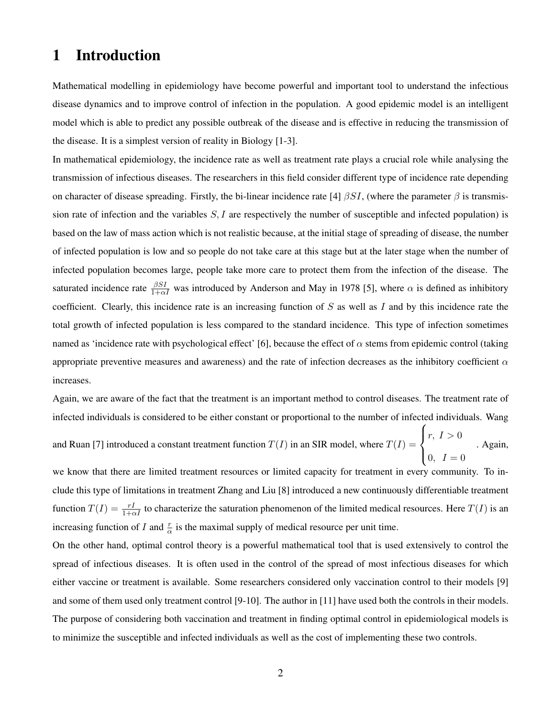### 1 Introduction

Mathematical modelling in epidemiology have become powerful and important tool to understand the infectious disease dynamics and to improve control of infection in the population. A good epidemic model is an intelligent model which is able to predict any possible outbreak of the disease and is effective in reducing the transmission of the disease. It is a simplest version of reality in Biology [1-3].

In mathematical epidemiology, the incidence rate as well as treatment rate plays a crucial role while analysing the transmission of infectious diseases. The researchers in this field consider different type of incidence rate depending on character of disease spreading. Firstly, the bi-linear incidence rate [4]  $\beta SI$ , (where the parameter  $\beta$  is transmission rate of infection and the variables  $S, I$  are respectively the number of susceptible and infected population) is based on the law of mass action which is not realistic because, at the initial stage of spreading of disease, the number of infected population is low and so people do not take care at this stage but at the later stage when the number of infected population becomes large, people take more care to protect them from the infection of the disease. The saturated incidence rate  $\frac{\beta SI}{1+\alpha I}$  was introduced by Anderson and May in 1978 [5], where  $\alpha$  is defined as inhibitory coefficient. Clearly, this incidence rate is an increasing function of  $S$  as well as  $I$  and by this incidence rate the total growth of infected population is less compared to the standard incidence. This type of infection sometimes named as 'incidence rate with psychological effect' [6], because the effect of  $\alpha$  stems from epidemic control (taking appropriate preventive measures and awareness) and the rate of infection decreases as the inhibitory coefficient  $\alpha$ increases.

Again, we are aware of the fact that the treatment is an important method to control diseases. The treatment rate of infected individuals is considered to be either constant or proportional to the number of infected individuals. Wang

and Ruan [7] introduced a constant treatment function  $T(I)$  in an SIR model, where  $T(I)$  =  $\sqrt{ }$  $\int$  $\overline{\mathcal{L}}$  $r, I > 0$  $0, I = 0$ . Again,

we know that there are limited treatment resources or limited capacity for treatment in every community. To include this type of limitations in treatment Zhang and Liu [8] introduced a new continuously differentiable treatment function  $T(I) = \frac{rI}{1+\alpha I}$  to characterize the saturation phenomenon of the limited medical resources. Here  $T(I)$  is an increasing function of I and  $\frac{r}{\alpha}$  is the maximal supply of medical resource per unit time.

On the other hand, optimal control theory is a powerful mathematical tool that is used extensively to control the spread of infectious diseases. It is often used in the control of the spread of most infectious diseases for which either vaccine or treatment is available. Some researchers considered only vaccination control to their models [9] and some of them used only treatment control [9-10]. The author in [11] have used both the controls in their models. The purpose of considering both vaccination and treatment in finding optimal control in epidemiological models is to minimize the susceptible and infected individuals as well as the cost of implementing these two controls.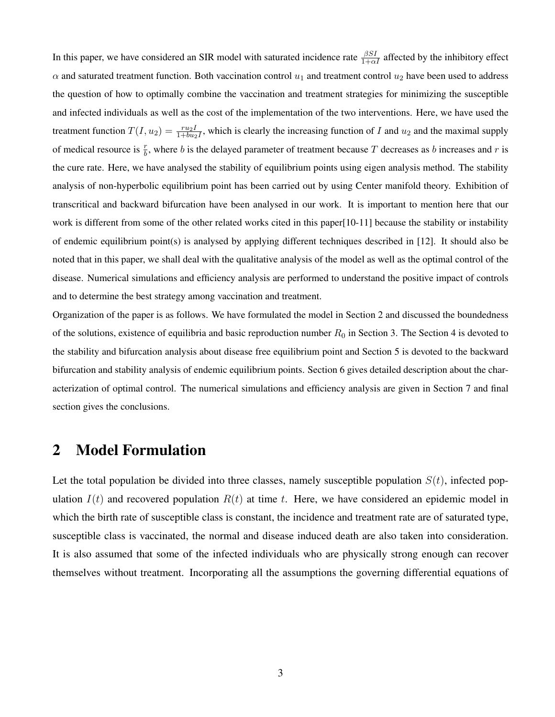In this paper, we have considered an SIR model with saturated incidence rate  $\frac{\beta SI}{1+\alpha I}$  affected by the inhibitory effect  $\alpha$  and saturated treatment function. Both vaccination control  $u_1$  and treatment control  $u_2$  have been used to address the question of how to optimally combine the vaccination and treatment strategies for minimizing the susceptible and infected individuals as well as the cost of the implementation of the two interventions. Here, we have used the treatment function  $T(I, u_2) = \frac{ru_2I}{1 + bu_2I}$ , which is clearly the increasing function of I and  $u_2$  and the maximal supply of medical resource is  $\frac{r}{b}$ , where b is the delayed parameter of treatment because T decreases as b increases and r is the cure rate. Here, we have analysed the stability of equilibrium points using eigen analysis method. The stability analysis of non-hyperbolic equilibrium point has been carried out by using Center manifold theory. Exhibition of transcritical and backward bifurcation have been analysed in our work. It is important to mention here that our work is different from some of the other related works cited in this paper[10-11] because the stability or instability of endemic equilibrium point(s) is analysed by applying different techniques described in [12]. It should also be noted that in this paper, we shall deal with the qualitative analysis of the model as well as the optimal control of the disease. Numerical simulations and efficiency analysis are performed to understand the positive impact of controls and to determine the best strategy among vaccination and treatment.

Organization of the paper is as follows. We have formulated the model in Section 2 and discussed the boundedness of the solutions, existence of equilibria and basic reproduction number  $R_0$  in Section 3. The Section 4 is devoted to the stability and bifurcation analysis about disease free equilibrium point and Section 5 is devoted to the backward bifurcation and stability analysis of endemic equilibrium points. Section 6 gives detailed description about the characterization of optimal control. The numerical simulations and efficiency analysis are given in Section 7 and final section gives the conclusions.

#### 2 Model Formulation

Let the total population be divided into three classes, namely susceptible population  $S(t)$ , infected population  $I(t)$  and recovered population  $R(t)$  at time t. Here, we have considered an epidemic model in which the birth rate of susceptible class is constant, the incidence and treatment rate are of saturated type, susceptible class is vaccinated, the normal and disease induced death are also taken into consideration. It is also assumed that some of the infected individuals who are physically strong enough can recover themselves without treatment. Incorporating all the assumptions the governing differential equations of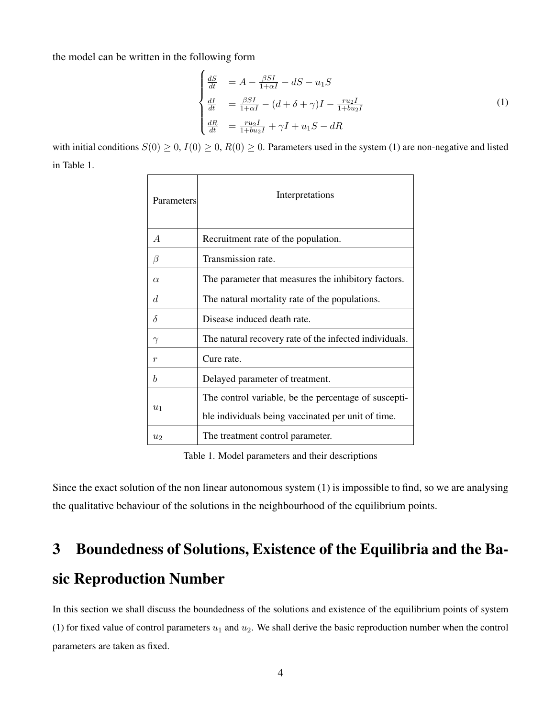the model can be written in the following form

<span id="page-3-0"></span>
$$
\begin{cases}\n\frac{dS}{dt} &= A - \frac{\beta SI}{1 + \alpha I} - dS - u_1 S \\
\frac{dI}{dt} &= \frac{\beta SI}{1 + \alpha I} - (d + \delta + \gamma)I - \frac{r u_2 I}{1 + b u_2 I} \\
\frac{dR}{dt} &= \frac{r u_2 I}{1 + b u_2 I} + \gamma I + u_1 S - dR\n\end{cases}
$$
\n(1)

with initial conditions  $S(0) \ge 0$ ,  $I(0) \ge 0$ ,  $R(0) \ge 0$ . Parameters used in the system (1) are non-negative and listed in Table 1.

| Parameters     | Interpretations                                        |  |  |  |
|----------------|--------------------------------------------------------|--|--|--|
| $\overline{A}$ | Recruitment rate of the population.                    |  |  |  |
| B              | Transmission rate.                                     |  |  |  |
| $\alpha$       | The parameter that measures the inhibitory factors.    |  |  |  |
| d.             | The natural mortality rate of the populations.         |  |  |  |
| $\delta$       | Disease induced death rate.                            |  |  |  |
| $\gamma$       | The natural recovery rate of the infected individuals. |  |  |  |
| r              | Cure rate.                                             |  |  |  |
| h              | Delayed parameter of treatment.                        |  |  |  |
| $u_1$          | The control variable, be the percentage of suscepti-   |  |  |  |
|                | ble individuals being vaccinated per unit of time.     |  |  |  |
| u <sub>2</sub> | The treatment control parameter.                       |  |  |  |

Table 1. Model parameters and their descriptions

Since the exact solution of the non linear autonomous system (1) is impossible to find, so we are analysing the qualitative behaviour of the solutions in the neighbourhood of the equilibrium points.

## 3 Boundedness of Solutions, Existence of the Equilibria and the Basic Reproduction Number

In this section we shall discuss the boundedness of the solutions and existence of the equilibrium points of system (1) for fixed value of control parameters  $u_1$  and  $u_2$ . We shall derive the basic reproduction number when the control parameters are taken as fixed.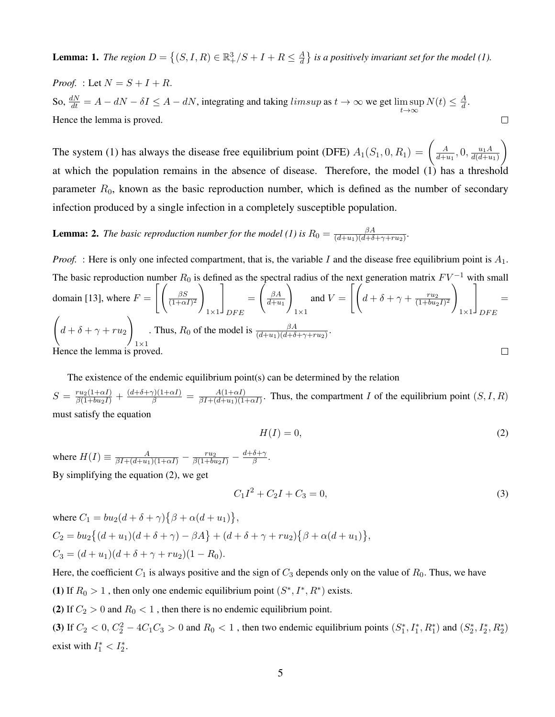**Lemma:** 1. *The region*  $D = \{(S, I, R) \in \mathbb{R}^3_+ / S + I + R \leq \frac{A}{d}\}$  $\frac{A}{d}$  } is a positively invariant set for the model (1).

*Proof.* : Let  $N = S + I + R$ . So,  $\frac{dN}{dt} = A - dN - \delta I \leq A - dN$ , integrating and taking  $limsup$  as  $t \to \infty$  we get  $\limsup_{t \to \infty}$  $N(t) \leq \frac{A}{d}$  $\frac{A}{d}$ . Hence the lemma is proved.  $\Box$ 

The system (1) has always the disease free equilibrium point (DFE)  $A_1(S_1, 0, R_1) = \begin{pmatrix} A & B_1 \end{pmatrix}$  $\frac{A}{d+u_1}$ , 0,  $\frac{u_1A}{d(d+u_1)}$  $d(d+u_1)$  $\setminus$ at which the population remains in the absence of disease. Therefore, the model (1) has a threshold parameter  $R_0$ , known as the basic reproduction number, which is defined as the number of secondary infection produced by a single infection in a completely susceptible population.

**Lemma: 2.** *The basic reproduction number for the model (1) is*  $R_0 = \frac{\beta A}{(d+u_1)(d+\delta)}$  $\frac{\beta A}{(d+u_1)(d+\delta+\gamma+ru_2)}$ .

*Proof.* : Here is only one infected compartment, that is, the variable I and the disease free equilibrium point is  $A_1$ . The basic reproduction number  $R_0$  is defined as the spectral radius of the next generation matrix  $F V^{-1}$  with small domain [13], where  $F = \left[ \begin{array}{c} \frac{\beta S}{(1+\alpha)} \end{array} \right]$  $\setminus$ 1  $\int_{\beta A}$  $\setminus$ and  $V = \left[ \int d + \delta + \gamma + \frac{r u_2}{(1 + b u_2)} \right]$  $\setminus$ 1 = =  $\overline{(1+\alpha I)^2}$  $\overline{d+u_1}$  $\overline{(1+bu_2I)^2}$  $1\times1$  $1\times1$  $1\times1$  $DFE$  $DFE$  $\sqrt{ }$  $\setminus$ . Thus,  $R_0$  of the model is  $\frac{\beta A}{(d+u_1)(d+\delta+\gamma+ru_2)}$ .  $d + \delta + \gamma + ru_2$  $1\times1$ Hence the lemma is proved.  $\Box$ 

The existence of the endemic equilibrium point(s) can be determined by the relation  $S = \frac{ru_2(1+\alpha I)}{\beta(1+bu_2I)} + \frac{(d+\delta+\gamma)(1+\alpha I)}{\beta} = \frac{A(1+\alpha I)}{\beta I + (d+u_1)(1+\gamma)}$  $\frac{A(1+ \alpha I)}{\beta I + (d+u_1)(1+ \alpha I)}$ . Thus, the compartment I of the equilibrium point  $(S, I, R)$ must satisfy the equation

$$
H(I) = 0,\t\t(2)
$$

where  $H(I) \equiv \frac{A}{\beta I + (d+u_1)(1+\alpha I)} - \frac{ru_2}{\beta(1+bu_2I)} - \frac{d+\delta+\gamma}{\beta}$  $\frac{\delta+\gamma}{\beta}.$ By simplifying the equation (2), we get

$$
C_1 I^2 + C_2 I + C_3 = 0,\t\t(3)
$$

where 
$$
C_1 = bu_2(d + \delta + \gamma)\{\beta + \alpha(d + u_1)\},
$$
  
\n $C_2 = bu_2\{(d + u_1)(d + \delta + \gamma) - \beta A\} + (d + \delta + \gamma + ru_2)\{\beta + \alpha(d + u_1)\},$   
\n $C_3 = (d + u_1)(d + \delta + \gamma + ru_2)(1 - R_0).$ 

Here, the coefficient  $C_1$  is always positive and the sign of  $C_3$  depends only on the value of  $R_0$ . Thus, we have (1) If  $R_0 > 1$ , then only one endemic equilibrium point  $(S^*, I^*, R^*)$  exists.

(2) If  $C_2 > 0$  and  $R_0 < 1$ , then there is no endemic equilibrium point.

(3) If  $C_2 < 0$ ,  $C_2^2 - 4C_1C_3 > 0$  and  $R_0 < 1$ , then two endemic equilibrium points  $(S_1^*, I_1^*, R_1^*)$  and  $(S_2^*, I_2^*, R_2^*)$ exist with  $I_1^* < I_2^*$ .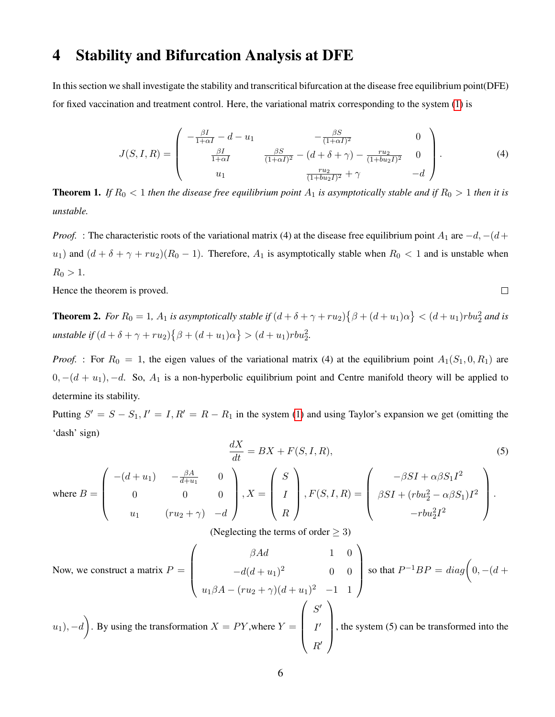### 4 Stability and Bifurcation Analysis at DFE

In this section we shall investigate the stability and transcritical bifurcation at the disease free equilibrium point(DFE) for fixed vaccination and treatment control. Here, the variational matrix corresponding to the system [\(1\)](#page-3-0) is

$$
J(S, I, R) = \begin{pmatrix} -\frac{\beta I}{1 + \alpha I} - d - u_1 & -\frac{\beta S}{(1 + \alpha I)^2} & 0\\ \frac{\beta I}{1 + \alpha I} & \frac{\beta S}{(1 + \alpha I)^2} - (d + \delta + \gamma) - \frac{ru_2}{(1 + bu_2 I)^2} & 0\\ u_1 & \frac{ru_2}{(1 + bu_2 I)^2} + \gamma & -d \end{pmatrix}.
$$
 (4)

 $\Box$ 

**Theorem 1.** If  $R_0 < 1$  then the disease free equilibrium point  $A_1$  is asymptotically stable and if  $R_0 > 1$  then it is *unstable.*

*Proof.* : The characteristic roots of the variational matrix (4) at the disease free equilibrium point  $A_1$  are  $-d$ ,  $-(d+$ u<sub>1</sub>) and  $(d + \delta + \gamma + ru_2)(R_0 - 1)$ . Therefore,  $A_1$  is asymptotically stable when  $R_0 < 1$  and is unstable when  $R_0 > 1$ .

Hence the theorem is proved.

**Theorem 2.** For  $R_0 = 1$ ,  $A_1$  is asymptotically stable if  $(d + \delta + \gamma + ru_2) \{\beta + (d + u_1)\alpha\} < (d + u_1) r b u_2^2$  and is  $\textit{unstable if } (d + \delta + \gamma + r u_2) \big\{ \beta + (d + u_1) \alpha \big\} > (d + u_1) r b u_2^2.$ 

*Proof.* : For  $R_0 = 1$ , the eigen values of the variational matrix (4) at the equilibrium point  $A_1(S_1, 0, R_1)$  are  $0, -(d + u_1), -d$ . So,  $A_1$  is a non-hyperbolic equilibrium point and Centre manifold theory will be applied to determine its stability.

Putting  $S' = S - S_1$ ,  $I' = I$ ,  $R' = R - R_1$  in the system [\(1\)](#page-3-0) and using Taylor's expansion we get (omitting the 'dash' sign)  $\overline{1}$ 

$$
\frac{dX}{dt} = BX + F(S, I, R),
$$
\n
$$
\text{where } B = \begin{pmatrix}\n-(d+u_1) & -\frac{\beta A}{d+u_1} & 0 \\
0 & 0 & 0 \\
u_1 & (ru_2 + \gamma) & -d\n\end{pmatrix}, X = \begin{pmatrix}\nS \\
I \\
R\n\end{pmatrix}, F(S, I, R) = \begin{pmatrix}\n-\beta SI + \alpha \beta S_1 I^2 \\
\beta SI + (rbu_2^2 - \alpha \beta S_1)I^2 \\
-rbu_2^2 I^2\n\end{pmatrix}.
$$
\n(5)

(Neglecting the terms of order  $\geq$  3)

Now, we construct a matrix 
$$
P = \begin{pmatrix} \beta Ad & 1 & 0 \\ -d(d+u_1)^2 & 0 & 0 \\ u_1 \beta A - (ru_2 + \gamma)(d+u_1)^2 & -1 & 1 \end{pmatrix}
$$
 so that  $P^{-1}BP = diag\left(0, -(d+u_1), -d\right)$ .  
By using the transformation  $X = PY$ , where  $Y = \begin{pmatrix} S' \\ I' \\ R' \end{pmatrix}$ , the system (5) can be transformed into the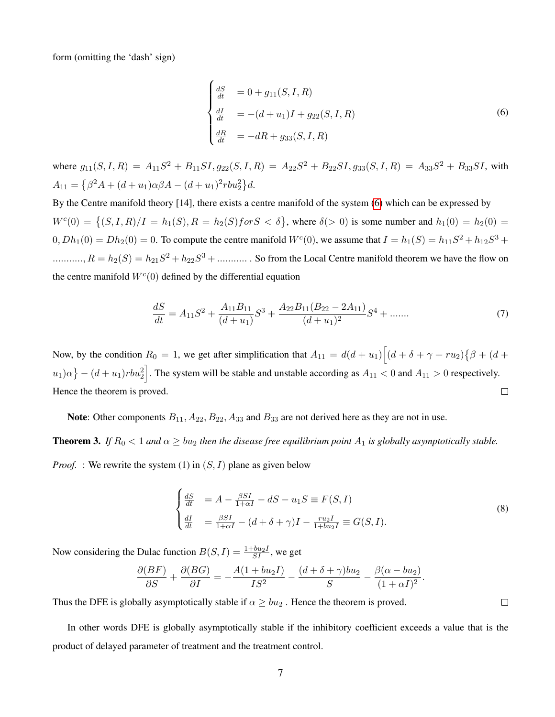form (omitting the 'dash' sign)

<span id="page-6-0"></span>
$$
\begin{cases}\n\frac{dS}{dt} &= 0 + g_{11}(S, I, R) \\
\frac{dI}{dt} &= -(d + u_1)I + g_{22}(S, I, R) \\
\frac{dR}{dt} &= -dR + g_{33}(S, I, R)\n\end{cases}
$$
\n(6)

where  $g_{11}(S, I, R) = A_{11}S^2 + B_{11}SI$ ,  $g_{22}(S, I, R) = A_{22}S^2 + B_{22}SI$ ,  $g_{33}(S, I, R) = A_{33}S^2 + B_{33}SI$ , with  $A_{11} = \left\{\beta^2 A + (d+u_1)\alpha \beta A - (d+u_1)^2 r b u_2^2\right\} d.$ 

By the Centre manifold theory [14], there exists a centre manifold of the system [\(6\)](#page-6-0) which can be expressed by  $W^c(0) = \{(S, I, R)/I = h_1(S), R = h_2(S)$  for  $S < \delta\}$ , where  $\delta(> 0)$  is some number and  $h_1(0) = h_2(0)$  $(0, Dh_1(0) = Dh_2(0) = 0$ . To compute the centre manifold  $W^c(0)$ , we assume that  $I = h_1(S) = h_{11}S^2 + h_{12}S^3 +$ ..........,  $R = h_2(S) = h_{21}S^2 + h_{22}S^3 + \dots$  So from the Local Centre manifold theorem we have the flow on the centre manifold  $W<sup>c</sup>(0)$  defined by the differential equation

$$
\frac{dS}{dt} = A_{11}S^2 + \frac{A_{11}B_{11}}{(d+u_1)}S^3 + \frac{A_{22}B_{11}(B_{22} - 2A_{11})}{(d+u_1)^2}S^4 + \dots \tag{7}
$$

Now, by the condition  $R_0 = 1$ , we get after simplification that  $A_{11} = d(d+u_1) \Big[ (d+\delta + \gamma + ru_2) \big\{ \beta + (d+\delta) \big\}$  $|u_1|\alpha\} - (d+u_1)rbu_2^2\big]$ . The system will be stable and unstable according as  $A_{11} < 0$  and  $A_{11} > 0$  respectively. Hence the theorem is proved.  $\Box$ 

Note: Other components  $B_{11}$ ,  $A_{22}$ ,  $B_{22}$ ,  $A_{33}$  and  $B_{33}$  are not derived here as they are not in use.

**Theorem 3.** *If*  $R_0 < 1$  *and*  $\alpha \geq bu_2$  *then the disease free equilibrium point*  $A_1$  *is globally asymptotically stable.* 

*Proof.* : We rewrite the system (1) in  $(S, I)$  plane as given below

$$
\begin{cases}\n\frac{dS}{dt} &= A - \frac{\beta SI}{1 + \alpha I} - dS - u_1 S \equiv F(S, I) \\
\frac{dI}{dt} &= \frac{\beta SI}{1 + \alpha I} - (d + \delta + \gamma)I - \frac{ru_2 I}{1 + bu_2 I} \equiv G(S, I).\n\end{cases}
$$
\n(8)

Now considering the Dulac function  $B(S, I) = \frac{1 + bu_2 I}{SI}$ , we get

$$
\frac{\partial (BF)}{\partial S} + \frac{\partial (BG)}{\partial I} = -\frac{A(1 + bu_2I)}{IS^2} - \frac{(d + \delta + \gamma)bu_2}{S} - \frac{\beta(\alpha - bu_2)}{(1 + \alpha I)^2}.
$$

Thus the DFE is globally asymptotically stable if  $\alpha \geq bu_2$ . Hence the theorem is proved.

In other words DFE is globally asymptotically stable if the inhibitory coefficient exceeds a value that is the product of delayed parameter of treatment and the treatment control.

 $\Box$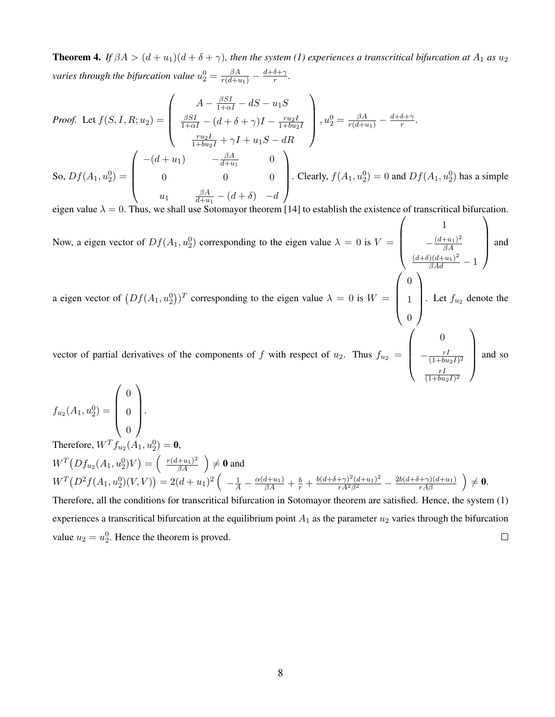**Theorem 4.** *If*  $\beta A > (d+u_1)(d+\delta+\gamma)$ , then the system (1) experiences a transcritical bifurcation at  $A_1$  as  $u_2$ varies through the bifurcation value  $u_2^0 = \frac{\beta A}{r(d+u_1)} - \frac{d+\delta+\gamma}{r}$  $\frac{o+\gamma}{r}$ .

Proof. Let 
$$
f(S, I, R; u_2) = \begin{pmatrix} A - \frac{\beta SI}{1 + \alpha I} - dS - u_1 S \\ \frac{\beta SI}{1 + \alpha I} - (d + \delta + \gamma)I - \frac{r u_2 I}{1 + b u_2 I} \\ \frac{r u_2 I}{1 + b u_2 I} + \gamma I + u_1 S - dR \end{pmatrix}
$$
,  $u_2^0 = \frac{\beta A}{r(d + u_1)} - \frac{d + \delta + \gamma}{r}$ .  
So,  $Df(A_1, u_2^0) = \begin{pmatrix} -(d + u_1) & -\frac{\beta A}{d + u_1} & 0 \\ 0 & 0 & 0 \\ u_1 & \frac{\beta A}{d + u_1} - (d + \delta) & -d \end{pmatrix}$ . Clearly,  $f(A_1, u_2^0) = 0$  and  $Df(A_1, u_2^0)$  has a simple

eigen value  $\lambda = 0$ . Thus, we shall use Sotomayor theorem [14] to establish the existence of transcritical bifurcation.

Now, a eigen vector of  $Df(A_1, u_2^0)$  corresponding to the eigen value  $\lambda = 0$  is  $V =$  $\sqrt{ }$  $\overline{\phantom{a}}$ 1  $-\frac{(d+u_1)^2}{\beta A}$  $\beta A$  $\frac{(d+\delta)(d+u_1)^2}{\beta Ad}-1$  $\setminus$ and and and and solution of the same of the same of the same of the same of the same of the same of the same of the same of the same of the same of the same of the same of the same of the same of the same of the same of th a eigen vector of  $(Df(A_1, u_2^0))^T$  corresponding to the eigen value  $\lambda = 0$  is  $W =$  $\left( \begin{array}{c} \Lambda \\ \end{array} \right)$ 0 1 1  $\Bigg\}$ . Let  $f_{u_2}$  denote the  $\sqrt{ }$ 0  $\setminus$ 

vector of partial derivatives of the components of f with respect of  $u_2$ . Thus  $f_{u_2}$  =  $\overline{\phantom{a}}$  $-\frac{rI}{(1+h)}$  $\overline{(1+bu_2I)^2}$ rI  $\sqrt{(1+bu_2I)^2}$ and so

 $f_{u_2}(A_1, u_2^0) =$  $\sqrt{ }$  $\overline{\phantom{a}}$ 0 0 0  $\setminus$  $\Bigg\}$ .

Therefore,  $W^{T} f_{u_2}(A_1, u_2^0) = 0$ ,  $W^T\big(Df_{u_2}(A_1,u_2^0)V\big)=\left(\begin{array}{c} \frac{r(d+u_1)^2}{\beta A} \end{array}\right)\neq\mathbf{0}$  and  $W^T(D^2f(A_1,u_2^0)(V,V)) = 2(d+u_1)^2\left(-\frac{1}{A} - \frac{\alpha(d+u_1)}{\beta A} + \frac{b}{r} + \frac{b(d+\delta+\gamma)^2(d+u_1)^2}{rA^2\beta^2} - \frac{2b(d+\delta+\gamma)(d+u_1)}{rA\beta}\right) \neq 0.$ Therefore, all the conditions for transcritical bifurcation in Sotomayor theorem are satisfied. Hence, the system (1)

experiences a transcritical bifurcation at the equilibrium point  $A_1$  as the parameter  $u_2$  varies through the bifurcation value  $u_2 = u_2^0$ . Hence the theorem is proved.  $\Box$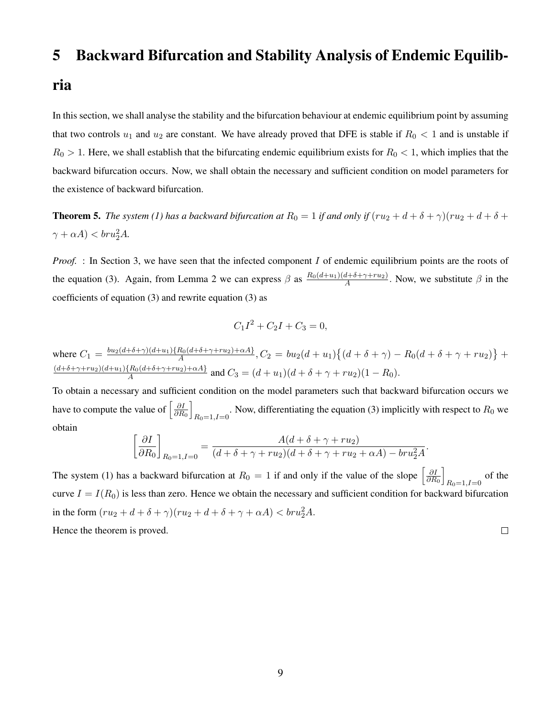#### 5 Backward Bifurcation and Stability Analysis of Endemic Equilib-

#### ria

In this section, we shall analyse the stability and the bifurcation behaviour at endemic equilibrium point by assuming that two controls  $u_1$  and  $u_2$  are constant. We have already proved that DFE is stable if  $R_0 < 1$  and is unstable if  $R_0 > 1$ . Here, we shall establish that the bifurcating endemic equilibrium exists for  $R_0 < 1$ , which implies that the backward bifurcation occurs. Now, we shall obtain the necessary and sufficient condition on model parameters for the existence of backward bifurcation.

**Theorem 5.** *The system (1) has a backward bifurcation at*  $R_0 = 1$  *if and only if*  $(ru_2 + d + \delta + \gamma)(ru_2 + d + \delta + \gamma)$  $\gamma + \alpha A$ )  $< bru_2^2 A$ .

*Proof.* : In Section 3, we have seen that the infected component I of endemic equilibrium points are the roots of the equation (3). Again, from Lemma 2 we can express  $\beta$  as  $\frac{R_0(d+u_1)(d+\delta+\gamma+ru_2)}{4}$  $\frac{a+b+\gamma+ru_2}{A}$ . Now, we substitute  $\beta$  in the coefficients of equation (3) and rewrite equation (3) as

$$
C_1I^2 + C_2I + C_3 = 0,
$$

where  $C_1 = \frac{b u_2 (d+\delta+\gamma)(d+u_1) \{R_0 (d+\delta+\gamma+r u_2)+\alpha A\}}{A}$  $\frac{R_0(d + \delta + \gamma + ru_2) + \alpha A_1}{A}, C_2 = bu_2(d + u_1)\{(d + \delta + \gamma) - R_0(d + \delta + \gamma + ru_2)\} +$  $(d+\delta+\gamma+ru_2)(d+u_1)\{R_0(d+\delta+\gamma+ru_2)+\alpha A\}$  $A_A^{(R_0(a + \delta + \gamma + ru_2) + \alpha A)}$  and  $C_3 = (d + u_1)(d + \delta + \gamma + ru_2)(1 - R_0)$ .

To obtain a necessary and sufficient condition on the model parameters such that backward bifurcation occurs we have to compute the value of  $\left[\frac{\partial I}{\partial R}\right]$  $\overline{\partial R_0}$ i . Now, differentiating the equation (3) implicitly with respect to  $R_0$  we  $R_0=1, I=0$ obtain

$$
\left[\frac{\partial I}{\partial R_0}\right]_{R_0=1, I=0} = \frac{A(d+\delta+\gamma+ru_2)}{(d+\delta+\gamma+ru_2)(d+\delta+\gamma+ru_2+\alpha A)-bra_2^2 A}.
$$

The system (1) has a backward bifurcation at  $R_0 = 1$  if and only if the value of the slope  $\left[\frac{\partial I}{\partial R}\right]$  $\partial R_0$ i  $R_{0}=1, I=0$  of the curve  $I = I(R_0)$  is less than zero. Hence we obtain the necessary and sufficient condition for backward bifurcation in the form  $(ru_2 + d + \delta + \gamma)(ru_2 + d + \delta + \gamma + \alpha A) < br{u_2^2}A$ .

Hence the theorem is proved.

 $\Box$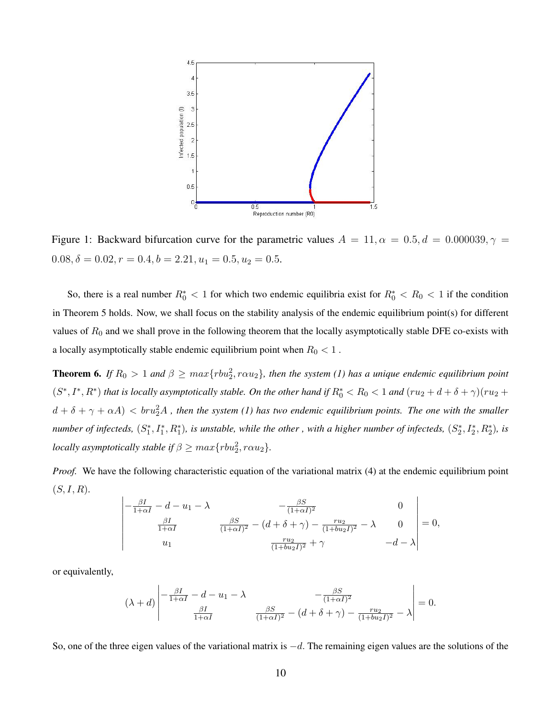

Figure 1: Backward bifurcation curve for the parametric values  $A = 11, \alpha = 0.5, d = 0.000039, \gamma =$  $0.08, \delta = 0.02, r = 0.4, b = 2.21, u_1 = 0.5, u_2 = 0.5.$ 

So, there is a real number  $R_0^* < 1$  for which two endemic equilibria exist for  $R_0^* < R_0 < 1$  if the condition in Theorem 5 holds. Now, we shall focus on the stability analysis of the endemic equilibrium point(s) for different values of  $R_0$  and we shall prove in the following theorem that the locally asymptotically stable DFE co-exists with a locally asymptotically stable endemic equilibrium point when  $R_0 < 1$ .

**Theorem 6.** If  $R_0 > 1$  and  $\beta \ge max\{rbu_2^2, r\alpha u_2\}$ , then the system (1) has a unique endemic equilibrium point  $(S^*,I^*,R^*)$  *that is locally asymptotically stable. On the other hand if*  $R_0^* < R_0 < 1$  *and*  $(ru_2 + d + \delta + \gamma)(ru_2 + d + \delta + \gamma)$  $d+\delta+\gamma+\alpha A) < br{u_2^2}A$  , then the system (1) has two endemic equilibrium points. The one with the smaller *number of infecteds,*  $(S_1^*, I_1^*, R_1^*)$ , is unstable, while the other, with a higher number of infecteds,  $(S_2^*, I_2^*, R_2^*)$ , is *locally asymptotically stable if*  $\beta \geq max\{rbu_2^2, r\alpha u_2\}$ *.* 

*Proof.* We have the following characteristic equation of the variational matrix (4) at the endemic equilibrium point  $(S, I, R)$ .

$$
\begin{vmatrix}\n-\frac{\beta I}{1+\alpha I} - d - u_1 - \lambda & -\frac{\beta S}{(1+\alpha I)^2} & 0 \\
\frac{\beta I}{1+\alpha I} & \frac{\beta S}{(1+\alpha I)^2} - (d + \delta + \gamma) - \frac{ru_2}{(1+bu_2 I)^2} - \lambda & 0 \\
u_1 & \frac{ru_2}{(1+bu_2 I)^2} + \gamma & -d - \lambda\n\end{vmatrix} = 0,
$$

or equivalently,

$$
(\lambda + d) \begin{vmatrix} -\frac{\beta I}{1 + \alpha I} - d - u_1 - \lambda & -\frac{\beta S}{(1 + \alpha I)^2} \\ \frac{\beta I}{1 + \alpha I} & \frac{\beta S}{(1 + \alpha I)^2} - (d + \delta + \gamma) - \frac{r u_2}{(1 + b u_2 I)^2} - \lambda \end{vmatrix} = 0.
$$

So, one of the three eigen values of the variational matrix is  $-d$ . The remaining eigen values are the solutions of the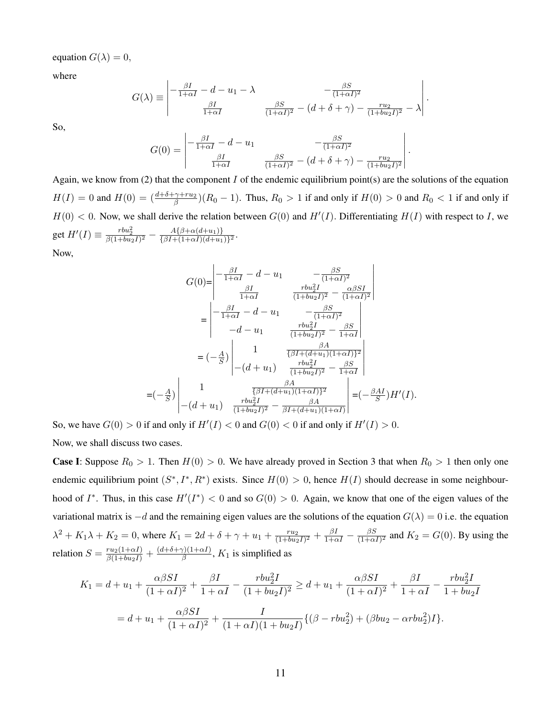equation  $G(\lambda) = 0$ ,

where

$$
G(\lambda) \equiv \begin{vmatrix} -\frac{\beta I}{1+\alpha I} - d - u_1 - \lambda & -\frac{\beta S}{(1+\alpha I)^2} \\ \frac{\beta I}{1+\alpha I} & \frac{\beta S}{(1+\alpha I)^2} - (d + \delta + \gamma) - \frac{r u_2}{(1+b u_2 I)^2} - \lambda \end{vmatrix}
$$

.

So,

$$
G(0) = \begin{vmatrix} -\frac{\beta I}{1 + \alpha I} - d - u_1 & -\frac{\beta S}{(1 + \alpha I)^2} \\ \frac{\beta I}{1 + \alpha I} & \frac{\beta S}{(1 + \alpha I)^2} - (d + \delta + \gamma) - \frac{r u_2}{(1 + b u_2 I)^2} \end{vmatrix}.
$$

Again, we know from (2) that the component I of the endemic equilibrium point(s) are the solutions of the equation  $H(I) = 0$  and  $H(0) = \left(\frac{d+\delta+\gamma+ru_2}{\beta}\right)(R_0-1)$ . Thus,  $R_0 > 1$  if and only if  $H(0) > 0$  and  $R_0 < 1$  if and only if  $H(0) < 0$ . Now, we shall derive the relation between  $G(0)$  and  $H'(I)$ . Differentiating  $H(I)$  with respect to I, we get  $H'(I) \equiv \frac{rbu_2^2}{\beta(1+bu_2I)^2} - \frac{A\{\beta+\alpha(d+u_1)\}}{\{\beta I+(1+\alpha I)(d+u_1)}}$  $\frac{A\{\beta+\alpha(a+u_1)\}}{\{\beta I+(1+\alpha I)(d+u_1)\}^2}.$ 

Now,

$$
G(0) = \begin{vmatrix} -\frac{\beta I}{1+\alpha I} - d - u_1 & -\frac{\beta S}{(1+\alpha I)^2} \\ \frac{\beta I}{1+\alpha I} & \frac{rbu_2^2 I}{(1+bu_2 I)^2} - \frac{\alpha \beta SI}{(1+\alpha I)^2} \\ -\frac{\beta I}{1+\alpha I} - d - u_1 & -\frac{\beta S}{(1+\alpha I)^2} \\ -d - u_1 & \frac{rbu_2^2 I}{(1+bu_2 I)^2} - \frac{\beta S}{1+\alpha I} \end{vmatrix}
$$
  
=  $(-\frac{A}{S}) \begin{vmatrix} 1 & \frac{\beta A}{\{\beta I + (d+u_1)(1+\alpha I)\}^2} \\ -(d+u_1) & \frac{rbu_2^2 I}{(1+bu_2 I)^2} - \frac{\beta S}{1+\alpha I} \\ -(d+u_1) & \frac{\beta A}{(1+bu_2 I)^2} - \frac{\beta A}{\beta I + (d+u_1)(1+\alpha I)} \end{vmatrix} = (-\frac{\beta A I}{S}) H'(I).$ 

So, we have  $G(0) > 0$  if and only if  $H'(I) < 0$  and  $G(0) < 0$  if and only if  $H'(I) > 0$ .

Now, we shall discuss two cases.

**Case I:** Suppose  $R_0 > 1$ . Then  $H(0) > 0$ . We have already proved in Section 3 that when  $R_0 > 1$  then only one endemic equilibrium point  $(S^*, I^*, R^*)$  exists. Since  $H(0) > 0$ , hence  $H(I)$  should decrease in some neighbourhood of  $I^*$ . Thus, in this case  $H'(I^*) < 0$  and so  $G(0) > 0$ . Again, we know that one of the eigen values of the variational matrix is  $-d$  and the remaining eigen values are the solutions of the equation  $G(\lambda) = 0$  i.e. the equation  $\lambda^2 + K_1 \lambda + K_2 = 0$ , where  $K_1 = 2d + \delta + \gamma + u_1 + \frac{ru_2}{(1 + huv_1)}$  $\frac{ru_2}{(1+bu_2I)^2} + \frac{\beta I}{1+\alpha I} - \frac{\beta S}{(1+\alpha I)}$  $\frac{\beta S}{(1+\alpha I)^2}$  and  $K_2 = G(0)$ . By using the relation  $S = \frac{ru_2(1+\alpha I)}{\beta(1+bu_2 I)} + \frac{(d+\delta+\gamma)(1+\alpha I)}{\beta}$  $\frac{g(1+\alpha t)}{\beta}$ ,  $K_1$  is simplified as

$$
K_1 = d + u_1 + \frac{\alpha \beta SI}{(1 + \alpha I)^2} + \frac{\beta I}{1 + \alpha I} - \frac{rbu_2^2 I}{(1 + bu_2 I)^2} \ge d + u_1 + \frac{\alpha \beta SI}{(1 + \alpha I)^2} + \frac{\beta I}{1 + \alpha I} - \frac{rbu_2^2 I}{1 + bu_2 I}
$$
  
=  $d + u_1 + \frac{\alpha \beta SI}{(1 + \alpha I)^2} + \frac{I}{(1 + \alpha I)(1 + bu_2 I)} \{(\beta - rbu_2^2) + (\beta bu_2 - \alpha rbu_2^2)I\}.$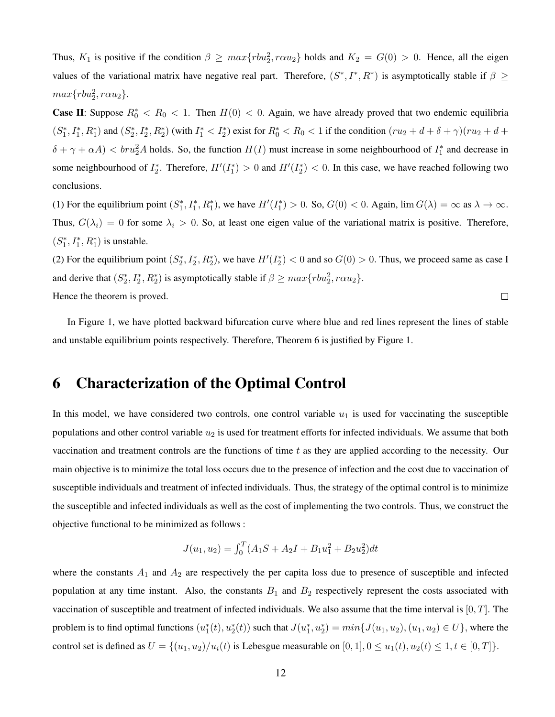Thus,  $K_1$  is positive if the condition  $\beta \geq max\{rbu_2^2, r\alpha u_2\}$  holds and  $K_2 = G(0) > 0$ . Hence, all the eigen values of the variational matrix have negative real part. Therefore,  $(S^*, I^*, R^*)$  is asymptotically stable if  $\beta \geq$  $max\{rbu_2^2, r\alpha u_2\}.$ 

**Case II:** Suppose  $R_0^* < R_0 < 1$ . Then  $H(0) < 0$ . Again, we have already proved that two endemic equilibria  $(S_1^*, I_1^*, R_1^*)$  and  $(S_2^*, I_2^*, R_2^*)$  (with  $I_1^* < I_2^*$ ) exist for  $R_0^* < R_0 < 1$  if the condition  $(ru_2 + d + \delta + \gamma)(ru_2 + d +$  $\delta + \gamma + \alpha A$ )  $\lt$  bru<sub>2</sub><sup>2</sup>A holds. So, the function  $H(I)$  must increase in some neighbourhood of  $I_1^*$  and decrease in some neighbourhood of  $I_2^*$ . Therefore,  $H'(I_1^*) > 0$  and  $H'(I_2^*) < 0$ . In this case, we have reached following two conclusions.

(1) For the equilibrium point  $(S_1^*, I_1^*, R_1^*)$ , we have  $H'(I_1^*) > 0$ . So,  $G(0) < 0$ . Again,  $\lim G(\lambda) = \infty$  as  $\lambda \to \infty$ . Thus,  $G(\lambda_i) = 0$  for some  $\lambda_i > 0$ . So, at least one eigen value of the variational matrix is positive. Therefore,  $(S_1^*,I_1^*,R_1^*)$  is unstable.

(2) For the equilibrium point  $(S_2^*, I_2^*, R_2^*)$ , we have  $H'(I_2^*) < 0$  and so  $G(0) > 0$ . Thus, we proceed same as case I and derive that  $(S_2^*, I_2^*, R_2^*)$  is asymptotically stable if  $\beta \ge \max\{rbu_2^2, r\alpha u_2\}$ . Hence the theorem is proved.  $\Box$ 

In Figure 1, we have plotted backward bifurcation curve where blue and red lines represent the lines of stable and unstable equilibrium points respectively. Therefore, Theorem 6 is justified by Figure 1.

#### 6 Characterization of the Optimal Control

In this model, we have considered two controls, one control variable  $u_1$  is used for vaccinating the susceptible populations and other control variable  $u_2$  is used for treatment efforts for infected individuals. We assume that both vaccination and treatment controls are the functions of time  $t$  as they are applied according to the necessity. Our main objective is to minimize the total loss occurs due to the presence of infection and the cost due to vaccination of susceptible individuals and treatment of infected individuals. Thus, the strategy of the optimal control is to minimize the susceptible and infected individuals as well as the cost of implementing the two controls. Thus, we construct the objective functional to be minimized as follows :

$$
J(u_1, u_2) = \int_0^T (A_1S + A_2I + B_1u_1^2 + B_2u_2^2)dt
$$

where the constants  $A_1$  and  $A_2$  are respectively the per capita loss due to presence of susceptible and infected population at any time instant. Also, the constants  $B_1$  and  $B_2$  respectively represent the costs associated with vaccination of susceptible and treatment of infected individuals. We also assume that the time interval is  $[0, T]$ . The problem is to find optimal functions  $(u_1^*(t), u_2^*(t))$  such that  $J(u_1^*, u_2^*) = min\{J(u_1, u_2), (u_1, u_2) \in U\}$ , where the control set is defined as  $U = \{(u_1, u_2)/u_i(t)$  is Lebesgue measurable on  $[0, 1], 0 \le u_1(t), u_2(t) \le 1, t \in [0, T]\}.$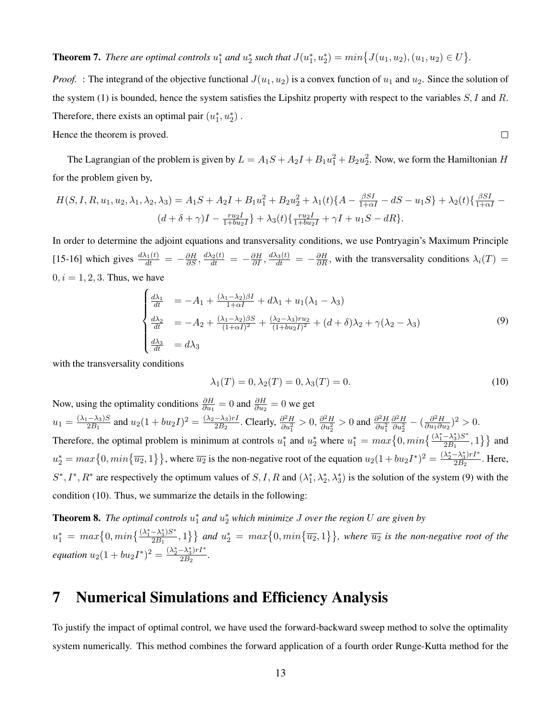**Theorem 7.** *There are optimal controls*  $u_1^*$  *and*  $u_2^*$  *such that*  $J(u_1^*, u_2^*) = min\big\{J(u_1, u_2), (u_1, u_2) \in U\big\}$ .

*Proof.* : The integrand of the objective functional  $J(u_1, u_2)$  is a convex function of  $u_1$  and  $u_2$ . Since the solution of the system (1) is bounded, hence the system satisfies the Lipshitz property with respect to the variables  $S, I$  and  $R$ . Therefore, there exists an optimal pair  $(u_1^*, u_2^*)$ .  $\Box$ 

Hence the theorem is proved.

The Lagrangian of the problem is given by  $L = A_1S + A_2I + B_1u_1^2 + B_2u_2^2$ . Now, we form the Hamiltonian H for the problem given by,

$$
H(S, I, R, u_1, u_2, \lambda_1, \lambda_2, \lambda_3) = A_1S + A_2I + B_1u_1^2 + B_2u_2^2 + \lambda_1(t)\{A - \frac{\beta SI}{1 + \alpha I} - dS - u_1S\} + \lambda_2(t)\{\frac{\beta SI}{1 + \alpha I} - (d + \delta + \gamma)I - \frac{ru_2I}{1 + bu_2I}\} + \lambda_3(t)\{\frac{ru_2I}{1 + bu_2I} + \gamma I + u_1S - dR\}.
$$

In order to determine the adjoint equations and transversality conditions, we use Pontryagin's Maximum Principle [15-16] which gives  $\frac{d\lambda_1(t)}{dt} = -\frac{\partial H}{\partial S}, \frac{d\lambda_2(t)}{dt} = -\frac{\partial H}{\partial I}, \frac{d\lambda_3(t)}{dt} = -\frac{\partial H}{\partial R}$ , with the transversality conditions  $\lambda_i(T) =$  $0, i = 1, 2, 3$ . Thus, we have

$$
\begin{cases}\n\frac{d\lambda_1}{dt} &= -A_1 + \frac{(\lambda_1 - \lambda_2)\beta I}{1 + \alpha I} + d\lambda_1 + u_1(\lambda_1 - \lambda_3) \\
\frac{d\lambda_2}{dt} &= -A_2 + \frac{(\lambda_1 - \lambda_2)\beta S}{(1 + \alpha I)^2} + \frac{(\lambda_2 - \lambda_3)ru_2}{(1 + bu_2 I)^2} + (d + \delta)\lambda_2 + \gamma(\lambda_2 - \lambda_3) \\
\frac{d\lambda_3}{dt} &= d\lambda_3\n\end{cases}
$$
\n(9)

with the transversality conditions

$$
\lambda_1(T) = 0, \lambda_2(T) = 0, \lambda_3(T) = 0.
$$
\n(10)

Now, using the optimality conditions  $\frac{\partial H}{\partial u_1} = 0$  and  $\frac{\partial H}{\partial u_2} = 0$  we get  $u_1 = \frac{(\lambda_1 - \lambda_3)S}{2B_1}$  $\frac{(-\lambda_3)S}{2B_1}$  and  $u_2(1+bu_2I)^2 = \frac{(\lambda_2-\lambda_3)rI}{2B_2}$  $\frac{(-\lambda_3)rI}{2B_2}$ . Clearly,  $\frac{\partial^2 H}{\partial u_1^2}$  $\frac{\partial^2 H}{\partial u_1^2} > 0, \frac{\partial^2 H}{\partial u_2^2}$  $\frac{\partial^2 H}{\partial u_2^2} > 0$  and  $\frac{\partial^2 H}{\partial u_1^2}$  $\partial u_1^2$  $\partial^2 H$  $\frac{\partial^2 H}{\partial u_2^2} - \left(\frac{\partial^2 H}{\partial u_1 \partial u_2}\right)$  $\frac{\partial^2 H}{\partial u_1 \partial u_2}$ <sup>2</sup> > 0. Therefore, the optimal problem is minimum at controls  $u_1^*$  and  $u_2^*$  where  $u_1^* = max\{0, min\{\frac{(\lambda_1^* - \lambda_3^*)S^*}{2B_1}\}$  $\left\{\frac{-\lambda_3^2}{2B_1}, 1\right\}$  and  $u_2^* = max\{0, min\{\overline{u_2}, 1\}\}\$ , where  $\overline{u_2}$  is the non-negative root of the equation  $u_2(1 + bu_2I^*)^2 = \frac{(\lambda_2^* - \lambda_3^*)rI^*}{2B_2}$  $\frac{-\lambda_3/TI}{2B_2}$ . Here,  $S^*, I^*, R^*$  are respectively the optimum values of  $S, I, R$  and  $(\lambda_1^*, \lambda_2^*, \lambda_3^*)$  is the solution of the system (9) with the condition (10). Thus, we summarize the details in the following:

**Theorem 8.** The optimal controls  $u_1^*$  and  $u_2^*$  which minimize J over the region U are given by  $u_1^* = max\big\{0, min\big\{\frac{(\lambda_1^* - \lambda_3^*)S^*}{2B_1}\big\}$  $\{\frac{-\lambda_3^*}{2B_1},1\}$  and  $u_2^* = max\{0,min\{\overline{u_2},1\}\}$ , where  $\overline{u_2}$  is the non-negative root of the *equation*  $u_2(1 + bu_2I^*)^2 = \frac{(\lambda_2^* - \lambda_3^*)rI^*}{2B_2}$  $\frac{-A_3}{7B_2}$ .

## 7 Numerical Simulations and Efficiency Analysis

To justify the impact of optimal control, we have used the forward-backward sweep method to solve the optimality system numerically. This method combines the forward application of a fourth order Runge-Kutta method for the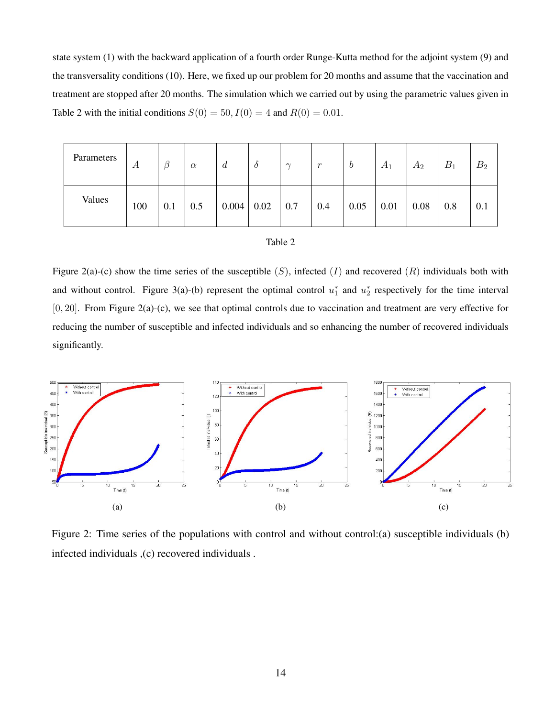state system (1) with the backward application of a fourth order Runge-Kutta method for the adjoint system (9) and the transversality conditions (10). Here, we fixed up our problem for 20 months and assume that the vaccination and treatment are stopped after 20 months. The simulation which we carried out by using the parametric values given in Table 2 with the initial conditions  $S(0) = 50$ ,  $I(0) = 4$  and  $R(0) = 0.01$ .

| Parameters | А   | β   | $\alpha$ | $\mathfrak{a}$ | $\partial$ | $\sim$ | r   | $\bm{b}$ | $A_1$ | $A_2$ | $B_1$ | B <sub>2</sub> |
|------------|-----|-----|----------|----------------|------------|--------|-----|----------|-------|-------|-------|----------------|
| Values     | 100 | 0.1 | 0.5      | 0.004          | 0.02       | 0.7    | 0.4 | 0.05     | 0.01  | 0.08  | 0.8   | 0.1            |

| abie |  |
|------|--|
|------|--|

Figure 2(a)-(c) show the time series of the susceptible  $(S)$ , infected  $(I)$  and recovered  $(R)$  individuals both with and without control. Figure 3(a)-(b) represent the optimal control  $u_1^*$  and  $u_2^*$  respectively for the time interval [0, 20]. From Figure 2(a)-(c), we see that optimal controls due to vaccination and treatment are very effective for reducing the number of susceptible and infected individuals and so enhancing the number of recovered individuals significantly.



Figure 2: Time series of the populations with control and without control:(a) susceptible individuals (b) infected individuals ,(c) recovered individuals .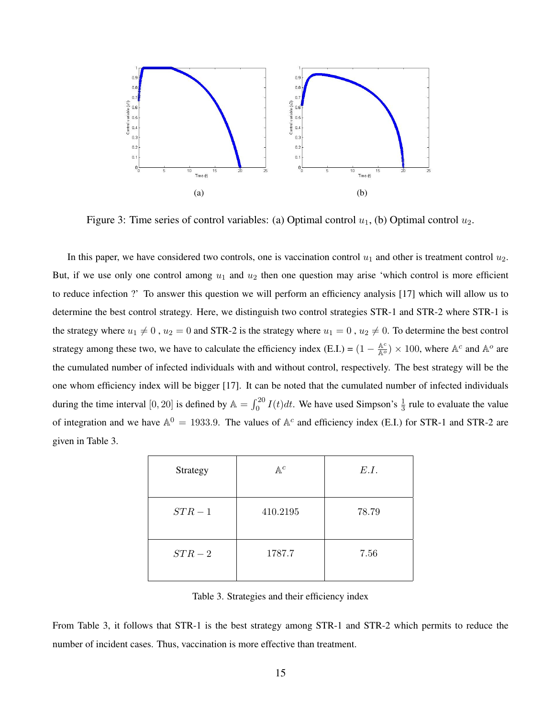

Figure 3: Time series of control variables: (a) Optimal control  $u_1$ , (b) Optimal control  $u_2$ .

In this paper, we have considered two controls, one is vaccination control  $u_1$  and other is treatment control  $u_2$ . But, if we use only one control among  $u_1$  and  $u_2$  then one question may arise 'which control is more efficient to reduce infection ?' To answer this question we will perform an efficiency analysis [17] which will allow us to determine the best control strategy. Here, we distinguish two control strategies STR-1 and STR-2 where STR-1 is the strategy where  $u_1 \neq 0$ ,  $u_2 = 0$  and STR-2 is the strategy where  $u_1 = 0$ ,  $u_2 \neq 0$ . To determine the best control strategy among these two, we have to calculate the efficiency index (E.I.) =  $(1 - \frac{A^c}{A^o}) \times 100$ , where  $A^c$  and  $A^o$  are the cumulated number of infected individuals with and without control, respectively. The best strategy will be the one whom efficiency index will be bigger [17]. It can be noted that the cumulated number of infected individuals during the time interval  $[0, 20]$  is defined by  $\mathbb{A} = \int_0^{20} I(t)dt$ . We have used Simpson's  $\frac{1}{3}$  rule to evaluate the value of integration and we have  $A^0 = 1933.9$ . The values of  $A^c$  and efficiency index (E.I.) for STR-1 and STR-2 are given in Table 3.

| Strategy | $\mathbb{A}^c$ | E.I.  |
|----------|----------------|-------|
| $STR-1$  | 410.2195       | 78.79 |
| $STR-2$  | 1787.7         | 7.56  |

Table 3. Strategies and their efficiency index

From Table 3, it follows that STR-1 is the best strategy among STR-1 and STR-2 which permits to reduce the number of incident cases. Thus, vaccination is more effective than treatment.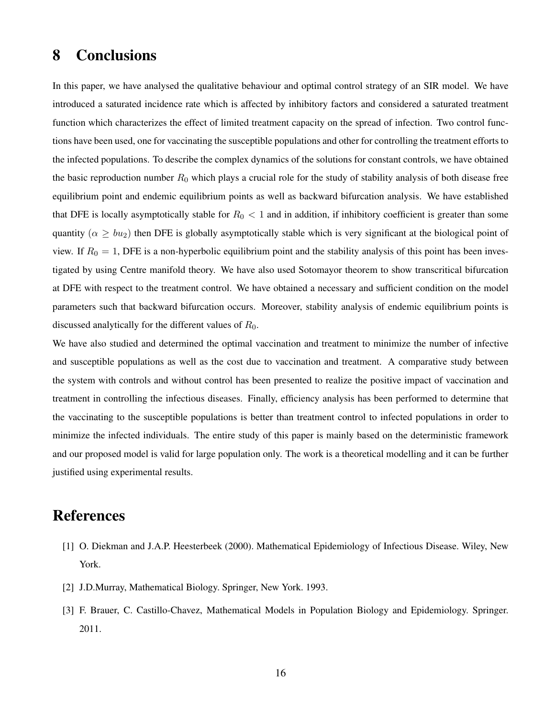### 8 Conclusions

In this paper, we have analysed the qualitative behaviour and optimal control strategy of an SIR model. We have introduced a saturated incidence rate which is affected by inhibitory factors and considered a saturated treatment function which characterizes the effect of limited treatment capacity on the spread of infection. Two control functions have been used, one for vaccinating the susceptible populations and other for controlling the treatment efforts to the infected populations. To describe the complex dynamics of the solutions for constant controls, we have obtained the basic reproduction number  $R_0$  which plays a crucial role for the study of stability analysis of both disease free equilibrium point and endemic equilibrium points as well as backward bifurcation analysis. We have established that DFE is locally asymptotically stable for  $R_0 < 1$  and in addition, if inhibitory coefficient is greater than some quantity ( $\alpha \geq bu_2$ ) then DFE is globally asymptotically stable which is very significant at the biological point of view. If  $R_0 = 1$ , DFE is a non-hyperbolic equilibrium point and the stability analysis of this point has been investigated by using Centre manifold theory. We have also used Sotomayor theorem to show transcritical bifurcation at DFE with respect to the treatment control. We have obtained a necessary and sufficient condition on the model parameters such that backward bifurcation occurs. Moreover, stability analysis of endemic equilibrium points is discussed analytically for the different values of  $R_0$ .

We have also studied and determined the optimal vaccination and treatment to minimize the number of infective and susceptible populations as well as the cost due to vaccination and treatment. A comparative study between the system with controls and without control has been presented to realize the positive impact of vaccination and treatment in controlling the infectious diseases. Finally, efficiency analysis has been performed to determine that the vaccinating to the susceptible populations is better than treatment control to infected populations in order to minimize the infected individuals. The entire study of this paper is mainly based on the deterministic framework and our proposed model is valid for large population only. The work is a theoretical modelling and it can be further justified using experimental results.

### References

- [1] O. Diekman and J.A.P. Heesterbeek (2000). Mathematical Epidemiology of Infectious Disease. Wiley, New York.
- [2] J.D.Murray, Mathematical Biology. Springer, New York. 1993.
- [3] F. Brauer, C. Castillo-Chavez, Mathematical Models in Population Biology and Epidemiology. Springer. 2011.